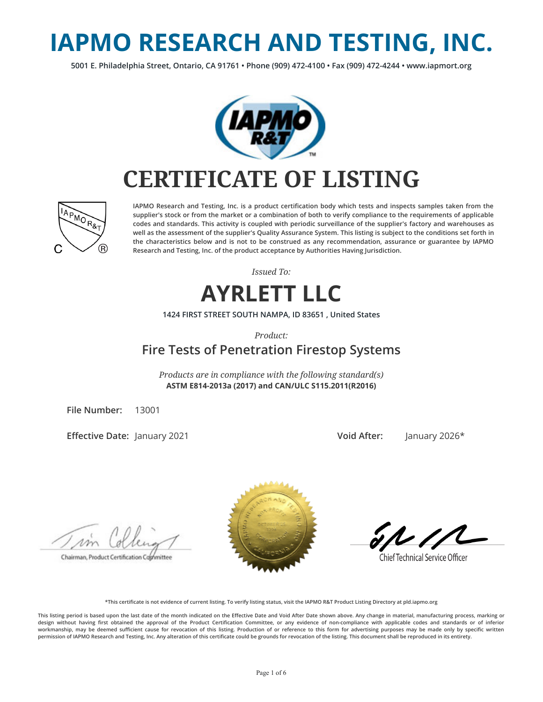# **IAPMO RESEARCH AND TESTING, INC.**

**5001 E. Philadelphia Street, Ontario, CA 91761 • Phone (909) 472-4100 • Fax (909) 472-4244 • www.iapmort.org**



## **CERTIFICATE OF LISTING**



**IAPMO Research and Testing, Inc. is a product certication body which tests and inspects samples taken from the supplier's stock or from the market or a combination of both to verify compliance to the requirements of applicable codes and standards. This activity is coupled with periodic surveillance of the supplier's factory and warehouses as well as the assessment of the supplier's Quality Assurance System. This listing is subject to the conditions set forth in the characteristics below and is not to be construed as any recommendation, assurance or guarantee by IAPMO Research and Testing, Inc. of the product acceptance by Authorities Having Jurisdiction.**

*Issued To:*



**1424 FIRST STREET SOUTH NAMPA, ID 83651 , United States**

*Product:*

### **Fire Tests of Penetration Firestop Systems**

*Products are in compliance with the following standard(s)* **ASTM E814-2013a (2017) and CAN/ULC S115.2011(R2016)**

**File Number:** 13001

**Effective Date: January 2021** 

**Void After:** January 2026\*

Chairman, Product Certification Committee



**Chief Technical Service Officer** 

**\*This certicate is not evidence of current listing. To verify listing status, visit the IAPMO R&T Product Listing Directory at pld.iapmo.org**

This listing period is based upon the last date of the month indicated on the Effective Date and Void After Date shown above. Any change in material, manufacturing process, marking or design without having first obtained the approval of the Product Certification Committee, or any evidence of non-compliance with applicable codes and standards or of inferior workmanship, may be deemed sufficient cause for revocation of this listing. Production of or reference to this form for advertising purposes may be made only by specific written **permission of IAPMO Research and Testing, Inc. Any alteration of this certicate could be grounds for revocation of the listing. This document shall be reproduced in its entirety.**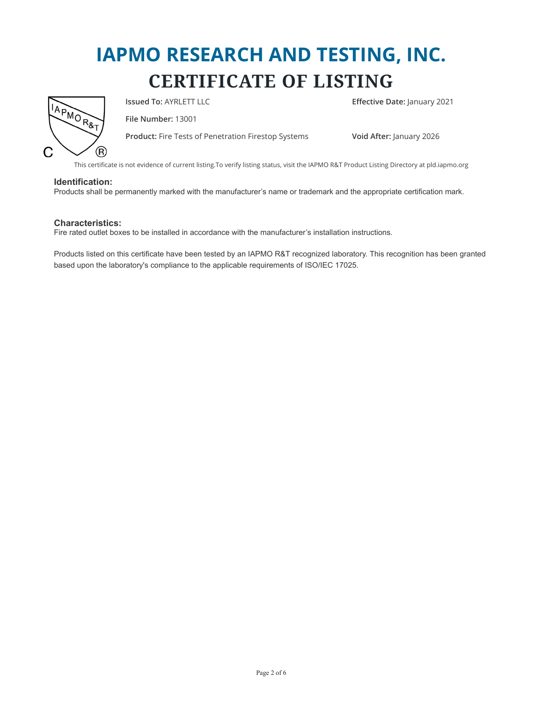

**Issued To:** AYRLETT LLC **E**ffective Date: January 2021

**File Number:** 13001

**Product:** Fire Tests of Penetration Firestop Systems **Void After:** January 2026

This certificate is not evidence of current listing.To verify listing status, visit the IAPMO R&T Product Listing Directory at pld.iapmo.org

#### **Identification:**

Products shall be permanently marked with the manufacturer's name or trademark and the appropriate certification mark.

#### **Characteristics:**

Fire rated outlet boxes to be installed in accordance with the manufacturer's installation instructions.

Products listed on this certificate have been tested by an IAPMO R&T recognized laboratory. This recognition has been granted based upon the laboratory's compliance to the applicable requirements of ISO/IEC 17025.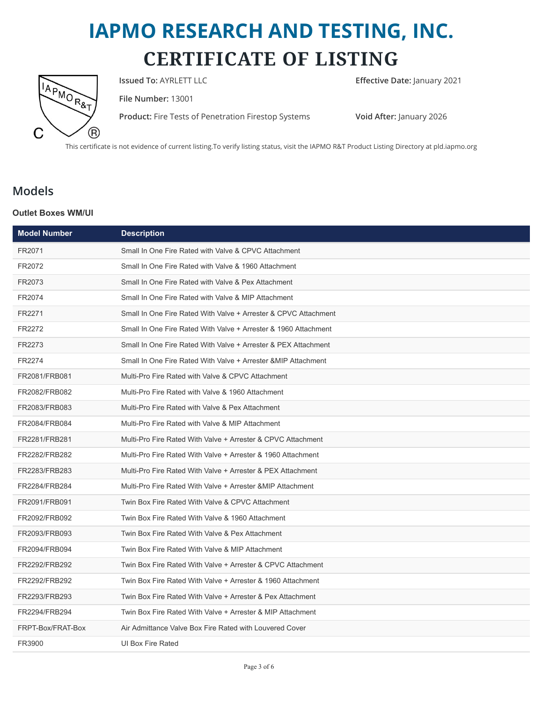

**Issued To:** AYRLETT LLC **Effective Date:** January 2021

**File Number:** 13001

**Product:** Fire Tests of Penetration Firestop Systems **Void After:** January 2026

This certificate is not evidence of current listing.To verify listing status, visit the IAPMO R&T Product Listing Directory at pld.iapmo.org

### **Models**

### **Outlet Boxes WM/UI**

| <b>Model Number</b> | <b>Description</b>                                              |
|---------------------|-----------------------------------------------------------------|
| FR2071              | Small In One Fire Rated with Valve & CPVC Attachment            |
| FR2072              | Small In One Fire Rated with Valve & 1960 Attachment            |
| FR2073              | Small In One Fire Rated with Valve & Pex Attachment             |
| FR2074              | Small In One Fire Rated with Valve & MIP Attachment             |
| FR2271              | Small In One Fire Rated With Valve + Arrester & CPVC Attachment |
| FR2272              | Small In One Fire Rated With Valve + Arrester & 1960 Attachment |
| FR2273              | Small In One Fire Rated With Valve + Arrester & PEX Attachment  |
| FR2274              | Small In One Fire Rated With Valve + Arrester & MIP Attachment  |
| FR2081/FRB081       | Multi-Pro Fire Rated with Valve & CPVC Attachment               |
| FR2082/FRB082       | Multi-Pro Fire Rated with Valve & 1960 Attachment               |
| FR2083/FRB083       | Multi-Pro Fire Rated with Valve & Pex Attachment                |
| FR2084/FRB084       | Multi-Pro Fire Rated with Valve & MIP Attachment                |
| FR2281/FRB281       | Multi-Pro Fire Rated With Valve + Arrester & CPVC Attachment    |
| FR2282/FRB282       | Multi-Pro Fire Rated With Valve + Arrester & 1960 Attachment    |
| FR2283/FRB283       | Multi-Pro Fire Rated With Valve + Arrester & PEX Attachment     |
| FR2284/FRB284       | Multi-Pro Fire Rated With Valve + Arrester & MIP Attachment     |
| FR2091/FRB091       | Twin Box Fire Rated With Valve & CPVC Attachment                |
| FR2092/FRB092       | Twin Box Fire Rated With Valve & 1960 Attachment                |
| FR2093/FRB093       | Twin Box Fire Rated With Valve & Pex Attachment                 |
| FR2094/FRB094       | Twin Box Fire Rated With Valve & MIP Attachment                 |
| FR2292/FRB292       | Twin Box Fire Rated With Valve + Arrester & CPVC Attachment     |
| FR2292/FRB292       | Twin Box Fire Rated With Valve + Arrester & 1960 Attachment     |
| FR2293/FRB293       | Twin Box Fire Rated With Valve + Arrester & Pex Attachment      |
| FR2294/FRB294       | Twin Box Fire Rated With Valve + Arrester & MIP Attachment      |
| FRPT-Box/FRAT-Box   | Air Admittance Valve Box Fire Rated with Louvered Cover         |
| FR3900              | UI Box Fire Rated                                               |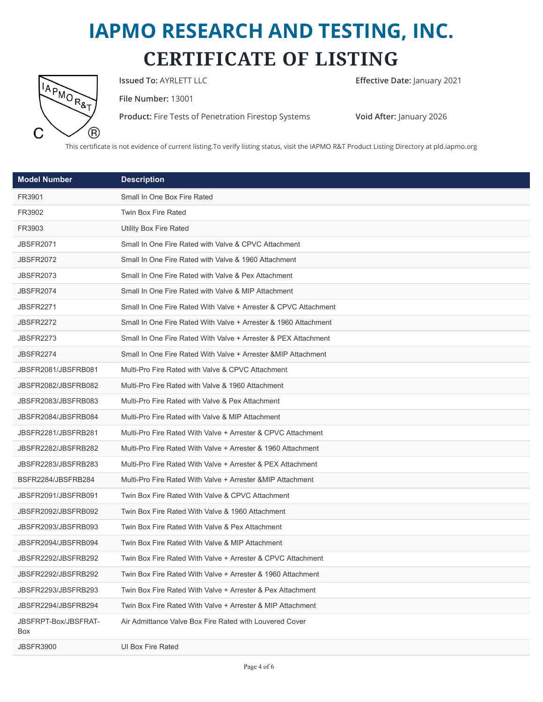

**Issued To:** AYRLETT LLC **Effective Date:** January 2021

**File Number:** 13001

**Product:** Fire Tests of Penetration Firestop Systems **Void After:** January 2026

This certificate is not evidence of current listing.To verify listing status, visit the IAPMO R&T Product Listing Directory at pld.iapmo.org

| <b>Model Number</b>         | <b>Description</b>                                              |
|-----------------------------|-----------------------------------------------------------------|
| FR3901                      | Small In One Box Fire Rated                                     |
| FR3902                      | Twin Box Fire Rated                                             |
| FR3903                      | <b>Utility Box Fire Rated</b>                                   |
| <b>JBSFR2071</b>            | Small In One Fire Rated with Valve & CPVC Attachment            |
| JBSFR2072                   | Small In One Fire Rated with Valve & 1960 Attachment            |
| <b>JBSFR2073</b>            | Small In One Fire Rated with Valve & Pex Attachment             |
| JBSFR2074                   | Small In One Fire Rated with Valve & MIP Attachment             |
| <b>JBSFR2271</b>            | Small In One Fire Rated With Valve + Arrester & CPVC Attachment |
| JBSFR2272                   | Small In One Fire Rated With Valve + Arrester & 1960 Attachment |
| JBSFR2273                   | Small In One Fire Rated With Valve + Arrester & PEX Attachment  |
| <b>JBSFR2274</b>            | Small In One Fire Rated With Valve + Arrester & MIP Attachment  |
| JBSFR2081/JBSFRB081         | Multi-Pro Fire Rated with Valve & CPVC Attachment               |
| JBSFR2082/JBSFRB082         | Multi-Pro Fire Rated with Valve & 1960 Attachment               |
| JBSFR2083/JBSFRB083         | Multi-Pro Fire Rated with Valve & Pex Attachment                |
| JBSFR2084/JBSFRB084         | Multi-Pro Fire Rated with Valve & MIP Attachment                |
| JBSFR2281/JBSFRB281         | Multi-Pro Fire Rated With Valve + Arrester & CPVC Attachment    |
| JBSFR2282/JBSFRB282         | Multi-Pro Fire Rated With Valve + Arrester & 1960 Attachment    |
| JBSFR2283/JBSFRB283         | Multi-Pro Fire Rated With Valve + Arrester & PEX Attachment     |
| BSFR2284/JBSFRB284          | Multi-Pro Fire Rated With Valve + Arrester & MIP Attachment     |
| JBSFR2091/JBSFRB091         | Twin Box Fire Rated With Valve & CPVC Attachment                |
| JBSFR2092/JBSFRB092         | Twin Box Fire Rated With Valve & 1960 Attachment                |
| JBSFR2093/JBSFRB093         | Twin Box Fire Rated With Valve & Pex Attachment                 |
| JBSFR2094/JBSFRB094         | Twin Box Fire Rated With Valve & MIP Attachment                 |
| JBSFR2292/JBSFRB292         | Twin Box Fire Rated With Valve + Arrester & CPVC Attachment     |
| JBSFR2292/JBSFRB292         | Twin Box Fire Rated With Valve + Arrester & 1960 Attachment     |
| JBSFR2293/JBSFRB293         | Twin Box Fire Rated With Valve + Arrester & Pex Attachment      |
| JBSFR2294/JBSFRB294         | Twin Box Fire Rated With Valve + Arrester & MIP Attachment      |
| JBSFRPT-Box/JBSFRAT-<br>Box | Air Admittance Valve Box Fire Rated with Louvered Cover         |
| <b>JBSFR3900</b>            | UI Box Fire Rated                                               |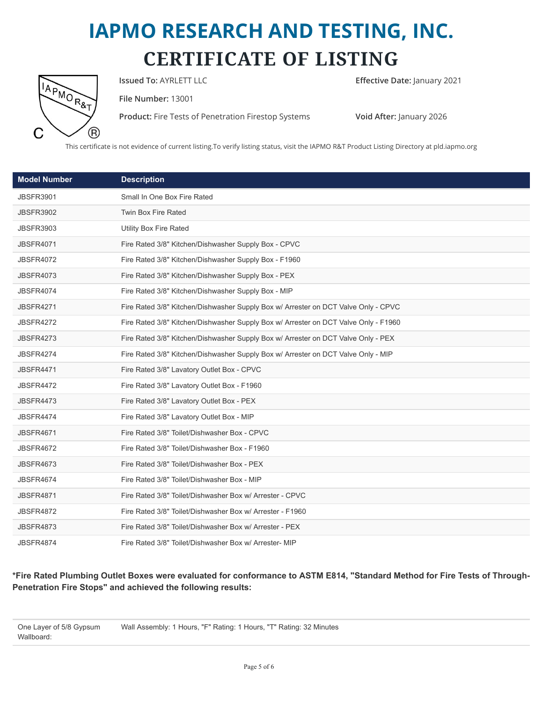

**Issued To:** AYRLETT LLC **Example 2021 Effective Date:** January 2021

**File Number:** 13001

**Product:** Fire Tests of Penetration Firestop Systems **Void After:** January 2026

This certificate is not evidence of current listing.To verify listing status, visit the IAPMO R&T Product Listing Directory at pld.iapmo.org

| <b>Model Number</b> | <b>Description</b>                                                                  |
|---------------------|-------------------------------------------------------------------------------------|
| <b>JBSFR3901</b>    | Small In One Box Fire Rated                                                         |
| <b>JBSFR3902</b>    | Twin Box Fire Rated                                                                 |
| <b>JBSFR3903</b>    | <b>Utility Box Fire Rated</b>                                                       |
| <b>JBSFR4071</b>    | Fire Rated 3/8" Kitchen/Dishwasher Supply Box - CPVC                                |
| <b>JBSFR4072</b>    | Fire Rated 3/8" Kitchen/Dishwasher Supply Box - F1960                               |
| <b>JBSFR4073</b>    | Fire Rated 3/8" Kitchen/Dishwasher Supply Box - PEX                                 |
| <b>JBSFR4074</b>    | Fire Rated 3/8" Kitchen/Dishwasher Supply Box - MIP                                 |
| <b>JBSFR4271</b>    | Fire Rated 3/8" Kitchen/Dishwasher Supply Box w/ Arrester on DCT Valve Only - CPVC  |
| <b>JBSFR4272</b>    | Fire Rated 3/8" Kitchen/Dishwasher Supply Box w/ Arrester on DCT Valve Only - F1960 |
| <b>JBSFR4273</b>    | Fire Rated 3/8" Kitchen/Dishwasher Supply Box w/ Arrester on DCT Valve Only - PEX   |
| <b>JBSFR4274</b>    | Fire Rated 3/8" Kitchen/Dishwasher Supply Box w/ Arrester on DCT Valve Only - MIP   |
| <b>JBSFR4471</b>    | Fire Rated 3/8" Lavatory Outlet Box - CPVC                                          |
| <b>JBSFR4472</b>    | Fire Rated 3/8" Lavatory Outlet Box - F1960                                         |
| <b>JBSFR4473</b>    | Fire Rated 3/8" Lavatory Outlet Box - PEX                                           |
| <b>JBSFR4474</b>    | Fire Rated 3/8" Lavatory Outlet Box - MIP                                           |
| <b>JBSFR4671</b>    | Fire Rated 3/8" Toilet/Dishwasher Box - CPVC                                        |
| <b>JBSFR4672</b>    | Fire Rated 3/8" Toilet/Dishwasher Box - F1960                                       |
| <b>JBSFR4673</b>    | Fire Rated 3/8" Toilet/Dishwasher Box - PEX                                         |
| <b>JBSFR4674</b>    | Fire Rated 3/8" Toilet/Dishwasher Box - MIP                                         |
| <b>JBSFR4871</b>    | Fire Rated 3/8" Toilet/Dishwasher Box w/ Arrester - CPVC                            |
| <b>JBSFR4872</b>    | Fire Rated 3/8" Toilet/Dishwasher Box w/ Arrester - F1960                           |
| <b>JBSFR4873</b>    | Fire Rated 3/8" Toilet/Dishwasher Box w/ Arrester - PEX                             |
| <b>JBSFR4874</b>    | Fire Rated 3/8" Toilet/Dishwasher Box w/ Arrester- MIP                              |

**\*Fire Rated Plumbing Outlet Boxes were evaluated for conformance to ASTM E814, "Standard Method for Fire Tests of Through-Penetration Fire Stops" and achieved the following results:**

One Layer of 5/8 Gypsum Wallboard: Wall Assembly: 1 Hours, "F" Rating: 1 Hours, "T" Rating: 32 Minutes